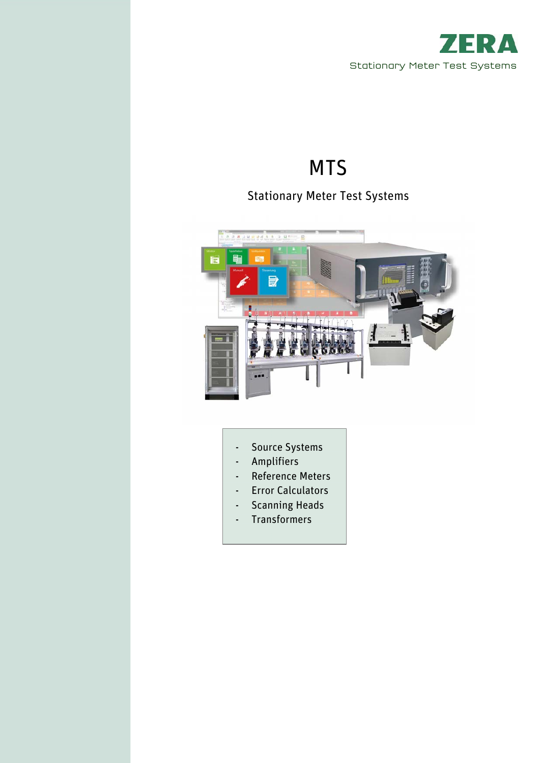

# MTS

# Stationary Meter Test Systems



- Source Systems
- Amplifiers
- Reference Meters
- Error Calculators
- Scanning Heads
- Transformers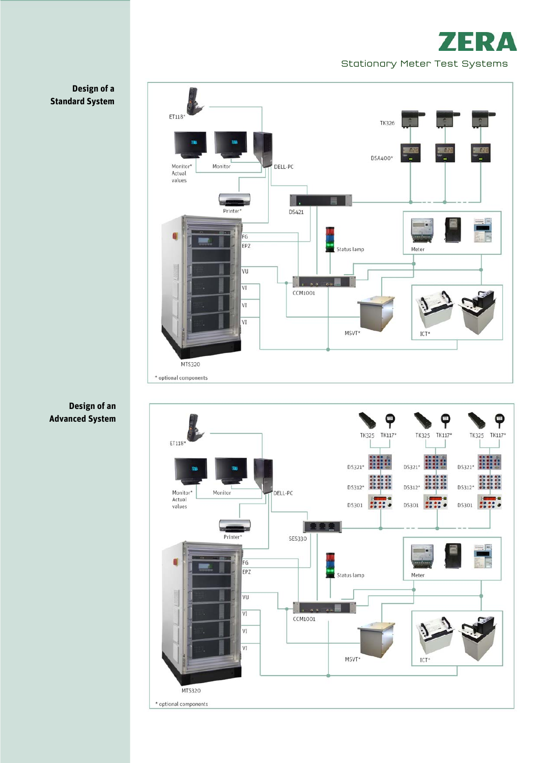





# **Design of a Standard System**

**Design of an Advanced System**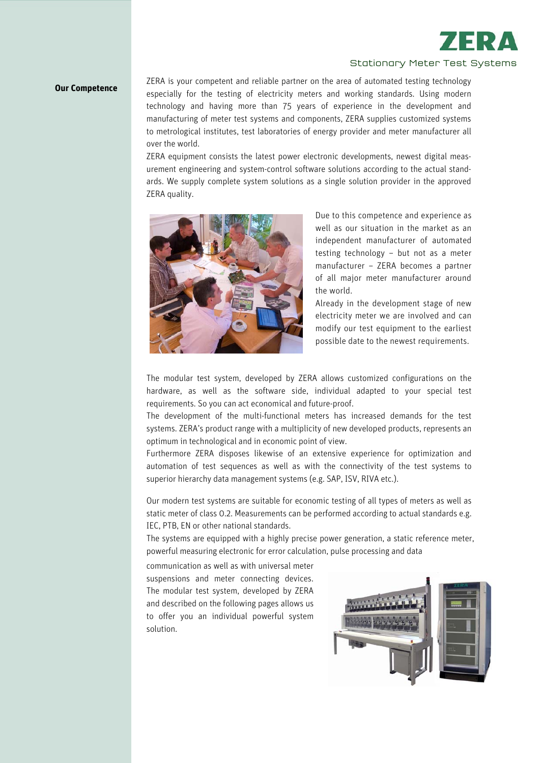

# Stationary Meter Test Systems

**Our Competence** ZERA is your competent and reliable partner on the area of automated testing technology especially for the testing of electricity meters and working standards. Using modern technology and having more than 75 years of experience in the development and manufacturing of meter test systems and components, ZERA supplies customized systems to metrological institutes, test laboratories of energy provider and meter manufacturer all over the world.

> ZERA equipment consists the latest power electronic developments, newest digital measurement engineering and system-control software solutions according to the actual standards. We supply complete system solutions as a single solution provider in the approved ZERA quality.



Due to this competence and experience as well as our situation in the market as an independent manufacturer of automated testing technology – but not as a meter manufacturer – ZERA becomes a partner of all major meter manufacturer around the world.

Already in the development stage of new electricity meter we are involved and can modify our test equipment to the earliest possible date to the newest requirements.

The modular test system, developed by ZERA allows customized configurations on the hardware, as well as the software side, individual adapted to your special test requirements. So you can act economical and future-proof.

The development of the multi-functional meters has increased demands for the test systems. ZERA's product range with a multiplicity of new developed products, represents an optimum in technological and in economic point of view.

Furthermore ZERA disposes likewise of an extensive experience for optimization and automation of test sequences as well as with the connectivity of the test systems to superior hierarchy data management systems (e.g. SAP, ISV, RIVA etc.).

Our modern test systems are suitable for economic testing of all types of meters as well as static meter of class 0.2. Measurements can be performed according to actual standards e.g. IEC, PTB, EN or other national standards.

The systems are equipped with a highly precise power generation, a static reference meter, powerful measuring electronic for error calculation, pulse processing and data

communication as well as with universal meter suspensions and meter connecting devices. The modular test system, developed by ZERA and described on the following pages allows us to offer you an individual powerful system solution.

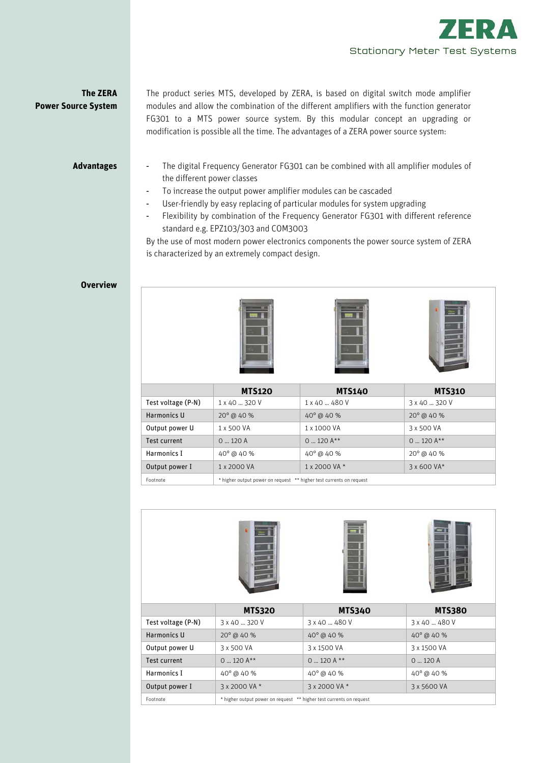

# **The ZERA Power Source System**

The product series MTS, developed by ZERA, is based on digital switch mode amplifier modules and allow the combination of the different amplifiers with the function generator FG301 to a MTS power source system. By this modular concept an upgrading or modification is possible all the time. The advantages of a ZERA power source system:

# **Advantages**

- The digital Frequency Generator FG301 can be combined with all amplifier modules of the different power classes
	- To increase the output power amplifier modules can be cascaded
	- User-friendly by easy replacing of particular modules for system upgrading
	- Flexibility by combination of the Frequency Generator FG301 with different reference standard e.g. EPZ103/303 and COM3003

By the use of most modern power electronics components the power source system of ZERA is characterized by an extremely compact design.

# **Overview**







|                    | <b>MTS120</b>                                                       | <b>MTS140</b>         | <b>MTS310</b>       |
|--------------------|---------------------------------------------------------------------|-----------------------|---------------------|
| Test voltage (P-N) | 1 x 40  320 V                                                       | 1 x 40  480 V         | 3 x 40  320 V       |
| Harmonics U        | $20^{\circ}$ @ 40 %                                                 | $40^{\circ}$ @ $40\%$ | $20^{\circ}$ @ 40 % |
| Output power U     | 1 x 500 VA                                                          | 1 x 1000 VA           | 3 x 500 VA          |
| Test current       | 0.120A                                                              | $0$ 120 $A^{**}$      | $0$ 120 $A***$      |
| Harmonics I        | $40^{\circ}$ @ $40$ %                                               | $40^{\circ}$ @ $40\%$ | $20^{\circ}$ @ 40 % |
| Output power I     | 1 x 2000 VA                                                         | 1 x 2000 VA *         | 3 x 600 VA*         |
| Footnote           | * higher output power on request ** higher test currents on request |                       |                     |



Footnote \* higher output power on request \*\* higher test currents on request

Output power I 3 x 2000 VA \* 3 x 2000 VA \* 3 3 x 5600 VA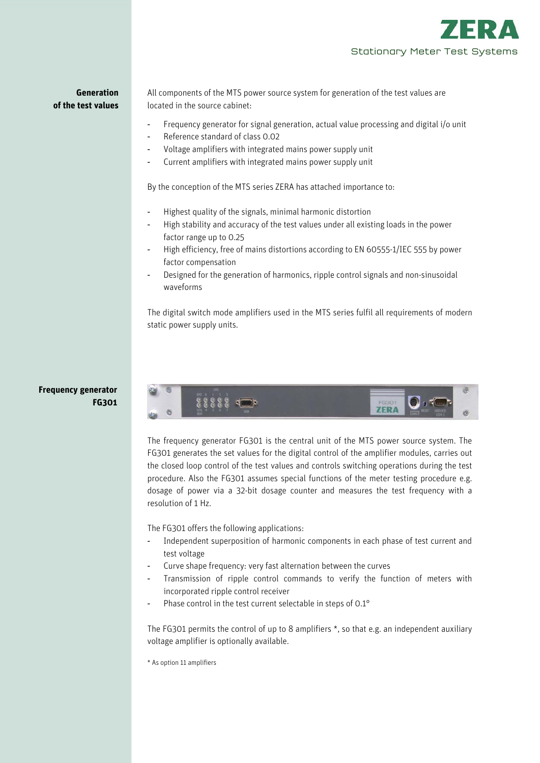

**Generation of the test values**  All components of the MTS power source system for generation of the test values are located in the source cabinet:

- Frequency generator for signal generation, actual value processing and digital i/o unit
- Reference standard of class 0.02
- Voltage amplifiers with integrated mains power supply unit
- Current amplifiers with integrated mains power supply unit

By the conception of the MTS series ZERA has attached importance to:

- Highest quality of the signals, minimal harmonic distortion
- High stability and accuracy of the test values under all existing loads in the power factor range up to 0.25
- High efficiency, free of mains distortions according to EN 60555-1/IEC 555 by power factor compensation
- Designed for the generation of harmonics, ripple control signals and non-sinusoidal waveforms

The digital switch mode amplifiers used in the MTS series fulfil all requirements of modern static power supply units.

# **Frequency generator FG301**



The frequency generator FG301 is the central unit of the MTS power source system. The FG301 generates the set values for the digital control of the amplifier modules, carries out the closed loop control of the test values and controls switching operations during the test procedure. Also the FG301 assumes special functions of the meter testing procedure e.g. dosage of power via a 32-bit dosage counter and measures the test frequency with a resolution of 1 Hz.

The FG301 offers the following applications:

- Independent superposition of harmonic components in each phase of test current and test voltage
- Curve shape frequency: very fast alternation between the curves
- Transmission of ripple control commands to verify the function of meters with incorporated ripple control receiver
- Phase control in the test current selectable in steps of 0.1°

The FG301 permits the control of up to 8 amplifiers \*, so that e.g. an independent auxiliary voltage amplifier is optionally available.

\* As option 11 amplifiers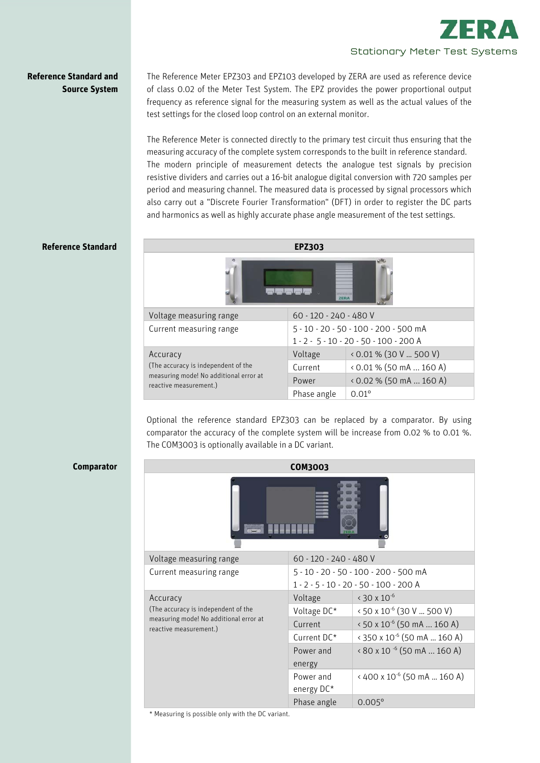

# **Reference Standard and Source System**

The Reference Meter EPZ303 and EPZ103 developed by ZERA are used as reference device of class 0.02 of the Meter Test System. The EPZ provides the power proportional output frequency as reference signal for the measuring system as well as the actual values of the test settings for the closed loop control on an external monitor.

The Reference Meter is connected directly to the primary test circuit thus ensuring that the measuring accuracy of the complete system corresponds to the built in reference standard. The modern principle of measurement detects the analogue test signals by precision resistive dividers and carries out a 16-bit analogue digital conversion with 720 samples per period and measuring channel. The measured data is processed by signal processors which also carry out a "Discrete Fourier Transformation" (DFT) in order to register the DC parts and harmonics as well as highly accurate phase angle measurement of the test settings.

# **Reference Standard**

**Comparator** 

|                                                                  | <b>EPZ303</b>                            |                           |  |  |  |  |  |
|------------------------------------------------------------------|------------------------------------------|---------------------------|--|--|--|--|--|
| ZERA                                                             |                                          |                           |  |  |  |  |  |
| Voltage measuring range                                          | 60 - 120 - 240 - 480 V                   |                           |  |  |  |  |  |
| Current measuring range                                          | 5 - 10 - 20 - 50 - 100 - 200 - 500 mA    |                           |  |  |  |  |  |
|                                                                  | $1 - 2 - 5 - 10 - 20 - 50 - 100 - 200$ A |                           |  |  |  |  |  |
| Accuracy                                                         | Voltage                                  | $0.01\%$ (30 V  500 V)    |  |  |  |  |  |
| (The accuracy is independent of the                              | Current                                  | $(0.01\%)(50mA160A)$      |  |  |  |  |  |
| measuring mode! No additional error at<br>reactive measurement.) | Power                                    | $(0.02\% (50 mA  160 A))$ |  |  |  |  |  |
|                                                                  | Phase angle                              | $0.01^{\circ}$            |  |  |  |  |  |

Optional the reference standard EPZ303 can be replaced by a comparator. By using comparator the accuracy of the complete system will be increase from 0.02 % to 0.01 %. The COM3003 is optionally available in a DC variant.

|                                                                  | <b>COM3003</b>                        |                                                |  |  |
|------------------------------------------------------------------|---------------------------------------|------------------------------------------------|--|--|
|                                                                  |                                       |                                                |  |  |
| Voltage measuring range                                          | 60 - 120 - 240 - 480 V                |                                                |  |  |
| Current measuring range                                          | 5 - 10 - 20 - 50 - 100 - 200 - 500 mA |                                                |  |  |
|                                                                  |                                       | 1 - 2 - 5 - 10 - 20 - 50 - 100 - 200 A         |  |  |
| Accuracy                                                         | Voltage                               | $\cdot$ 30 x 10 <sup>-6</sup>                  |  |  |
| (The accuracy is independent of the                              | Voltage DC*                           | $\cdot$ 50 x 10 <sup>-6</sup> (30 V  500 V)    |  |  |
| measuring mode! No additional error at<br>reactive measurement.) | Current                               | $\cdot$ 50 x 10 <sup>-6</sup> (50 mA  160 A)   |  |  |
|                                                                  | Current DC*                           | $\times$ 350 x 10 <sup>-6</sup> (50 mA  160 A) |  |  |
|                                                                  | Power and                             | $\times$ 80 x 10 $^{-6}$ (50 mA  160 A)        |  |  |
|                                                                  | energy                                |                                                |  |  |
|                                                                  | Power and                             | $\cdot$ 400 x 10 <sup>-6</sup> (50 mA  160 A)  |  |  |
|                                                                  | energy DC*                            |                                                |  |  |
|                                                                  | Phase angle                           | $0.005^{\circ}$                                |  |  |

\* Measuring is possible only with the DC variant.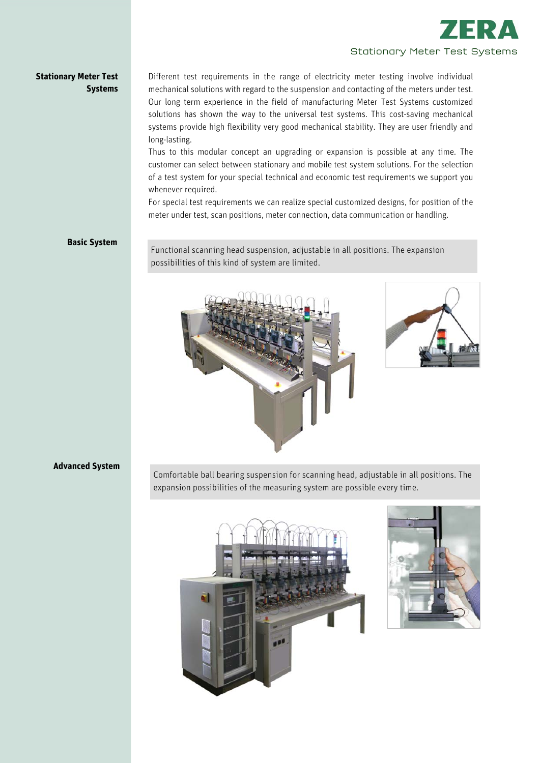

# **Stationary Meter Test Systems**

Different test requirements in the range of electricity meter testing involve individual mechanical solutions with regard to the suspension and contacting of the meters under test. Our long term experience in the field of manufacturing Meter Test Systems customized solutions has shown the way to the universal test systems. This cost-saving mechanical systems provide high flexibility very good mechanical stability. They are user friendly and long-lasting.

Thus to this modular concept an upgrading or expansion is possible at any time. The customer can select between stationary and mobile test system solutions. For the selection of a test system for your special technical and economic test requirements we support you whenever required.

For special test requirements we can realize special customized designs, for position of the meter under test, scan positions, meter connection, data communication or handling.

## **Basic System**

Functional scanning head suspension, adjustable in all positions. The expansion possibilities of this kind of system are limited.





# **Advanced System**

Comfortable ball bearing suspension for scanning head, adjustable in all positions. The expansion possibilities of the measuring system are possible every time.



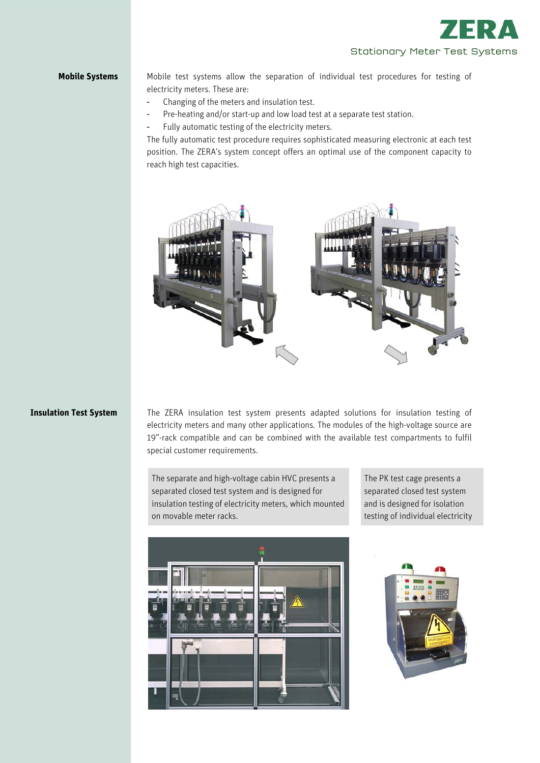

**Mobile Systems** Mobile test systems allow the separation of individual test procedures for testing of electricity meters. These are:

- Changing of the meters and insulation test.
- Pre-heating and/or start-up and low load test at a separate test station.
- Fully automatic testing of the electricity meters.

The fully automatic test procedure requires sophisticated measuring electronic at each test position. The ZERA's system concept offers an optimal use of the component capacity to reach high test capacities.



# **Insulation Test System**

The ZERA insulation test system presents adapted solutions for insulation testing of electricity meters and many other applications. The modules of the high-voltage source are 19"-rack compatible and can be combined with the available test compartments to fulfil special customer requirements.

The separate and high-voltage cabin HVC presents a separated closed test system and is designed for insulation testing of electricity meters, which mounted on movable meter racks.

The PK test cage presents a separated closed test system and is designed for isolation testing of individual electricity



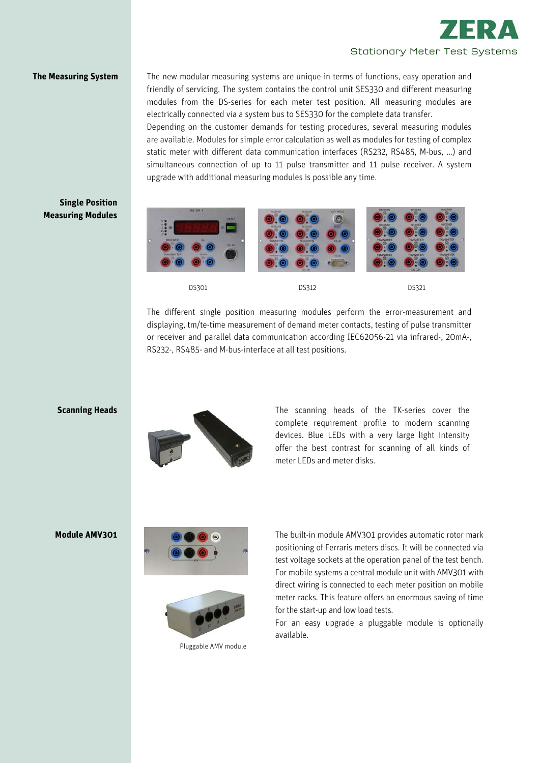

**The Measuring System** The new modular measuring systems are unique in terms of functions, easy operation and friendly of servicing. The system contains the control unit SES330 and different measuring modules from the DS-series for each meter test position. All measuring modules are electrically connected via a system bus to SES330 for the complete data transfer.

> Depending on the customer demands for testing procedures, several measuring modules are available. Modules for simple error calculation as well as modules for testing of complex static meter with different data communication interfaces (RS232, RS485, M-bus, …) and simultaneous connection of up to 11 pulse transmitter and 11 pulse receiver. A system upgrade with additional measuring modules is possible any time.

# **Single Position Measuring Modules**



The different single position measuring modules perform the error-measurement and displaying, tm/te-time measurement of demand meter contacts, testing of pulse transmitter or receiver and parallel data communication according IEC62056-21 via infrared-, 20mA-, RS232-, RS485- and M-bus-interface at all test positions.

# **Scanning Heads**



The scanning heads of the TK-series cover the complete requirement profile to modern scanning devices. Blue LEDs with a very large light intensity offer the best contrast for scanning of all kinds of meter LEDs and meter disks.

# **Module AMV301**





Pluggable AMV module

The built-in module AMV301 provides automatic rotor mark positioning of Ferraris meters discs. It will be connected via test voltage sockets at the operation panel of the test bench. For mobile systems a central module unit with AMV301 with direct wiring is connected to each meter position on mobile meter racks. This feature offers an enormous saving of time for the start-up and low load tests.

For an easy upgrade a pluggable module is optionally available.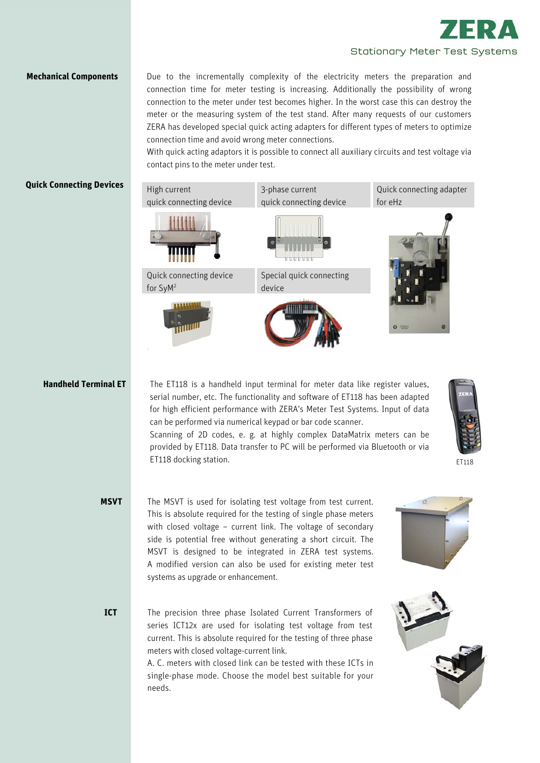

**Mechanical Components Due to the incrementally complexity of the electricity meters the preparation and** connection time for meter testing is increasing. Additionally the possibility of wrong connection to the meter under test becomes higher. In the worst case this can destroy the meter or the measuring system of the test stand. After many requests of our customers ZERA has developed special quick acting adapters for different types of meters to optimize connection time and avoid wrong meter connections.

> With quick acting adaptors it is possible to connect all auxiliary circuits and test voltage via contact pins to the meter under test.

# **Quick Connecting Devices**



High current

Quick connecting device for SyM2



quick connecting device Special quick connecting

3-phase current



for eHz

Quick connecting adapter

# **Handheld Terminal ET**

The ET118 is a handheld input terminal for meter data like register values, serial number, etc. The functionality and software of ET118 has been adapted for high efficient performance with ZERA's Meter Test Systems. Input of data can be performed via numerical keypad or bar code scanner.

Scanning of 2D codes, e. g. at highly complex DataMatrix meters can be provided by ET118. Data transfer to PC will be performed via Bluetooth or via ET118 docking station.



ET118

- The MSVT is used for isolating test voltage from test current. This is absolute required for the testing of single phase meters with closed voltage – current link. The voltage of secondary side is potential free without generating a short circuit. The MSVT is designed to be integrated in ZERA test systems. A modified version can also be used for existing meter test systems as upgrade or enhancement. **MSVT**
- The precision three phase Isolated Current Transformers of series ICT12x are used for isolating test voltage from test current. This is absolute required for the testing of three phase meters with closed voltage-current link. **ICT**

A. C. meters with closed link can be tested with these ICTs in single-phase mode. Choose the model best suitable for your needs.

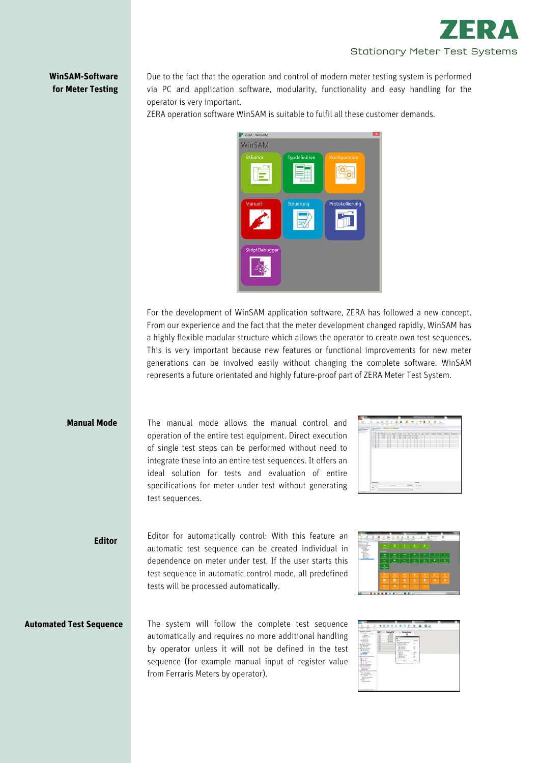

# **WinSAM-Software for Meter Testing**

Due to the fact that the operation and control of modern meter testing system is performed via PC and application software, modularity, functionality and easy handling for the operator is very important.

ZERA operation software WinSAM is suitable to fulfil all these customer demands.



For the development of WinSAM application software, ZERA has followed a new concept. From our experience and the fact that the meter development changed rapidly, WinSAM has a highly flexible modular structure which allows the operator to create own test sequences. This is very important because new features or functional improvements for new meter generations can be involved easily without changing the complete software. WinSAM represents a future orientated and highly future-proof part of ZERA Meter Test System.

### **Manual Mode**

The manual mode allows the manual control and operation of the entire test equipment. Direct execution of single test steps can be performed without need to integrate these into an entire test sequences. It offers an ideal solution for tests and evaluation of entire specifications for meter under test without generating test sequences.

| <b>SAN COLLECTION</b><br><b><i>All Columns</i></b><br><b>Right Comp</b><br>----<br><b>START</b> | 12.1<br>۰<br>u<br>ш                               | JANE ME METHO<br>639<br>181818181<br>× | 1. E. Statisti (2) Sect. (Sec. ) 5 (St. 2, 3, 5 (St. 2)and (Sec. | <b>Charles Av 1. Manhood</b><br><b>There</b> |
|-------------------------------------------------------------------------------------------------|---------------------------------------------------|----------------------------------------|------------------------------------------------------------------|----------------------------------------------|
| ----<br>----<br>$-2444$<br>----<br>79481<br>$-0.001$                                            | --<br>œ<br>œ<br>$\cdots$<br>$\overline{1}$<br>--- |                                        |                                                                  |                                              |
| <b>SHIP</b>                                                                                     | a www.com/design=10.00                            |                                        |                                                                  | the process of the con-                      |
|                                                                                                 |                                                   |                                        |                                                                  |                                              |
|                                                                                                 |                                                   |                                        |                                                                  |                                              |
|                                                                                                 |                                                   |                                        |                                                                  |                                              |
|                                                                                                 |                                                   |                                        |                                                                  |                                              |
| <b>THE CO</b>                                                                                   |                                                   |                                        | $\cdots$                                                         |                                              |
|                                                                                                 |                                                   |                                        |                                                                  |                                              |

**Editor**  Editor for automatically control: With this feature an automatic test sequence can be created individual in dependence on meter under test. If the user starts this test sequence in automatic control mode, all predefined tests will be processed automatically.

| Ł |   |  |  |
|---|---|--|--|
|   |   |  |  |
|   |   |  |  |
|   |   |  |  |
|   | ۲ |  |  |

### **Automated Test Sequence**

The system will follow the complete test sequence automatically and requires no more additional handling by operator unless it will not be defined in the test sequence (for example manual input of register value from Ferraris Meters by operator).

| -<br>÷<br>۰<br>-<br>w<br><br>$\sim$<br>x<br><b>Standard College Co.</b><br>di tecno<br>di latan storako<br><b>College Co</b><br>1. All Group and III                                                                               | ----<br>w<br>v<br>--<br>E.                   | . a<br>$\mathbf{H}$<br><b>Business</b><br>$-1.34$<br>獄 | ٠<br>$\mathbf{H}$<br>n<br><b>Report Follows</b>                                                                                       | ٥                                                                          | --- |  |
|------------------------------------------------------------------------------------------------------------------------------------------------------------------------------------------------------------------------------------|----------------------------------------------|--------------------------------------------------------|---------------------------------------------------------------------------------------------------------------------------------------|----------------------------------------------------------------------------|-----|--|
| $-0.49444$<br><b>Project</b><br>A March<br><b>Farmer</b><br><b>B-Second</b><br><b>A March 1979</b><br>The product of<br>189998<br>A Grand Library<br>1 At Selected<br><b><i>Charles Company</i></b>                                | ×<br>B<br>3<br>÷<br>$-$<br>٠<br>÷<br>٠<br>-- | 16<br>л<br>2                                           | 18 hard China<br>The constant<br>110 Paramont Adverts<br>C. M. Harry Corp.<br>12 miles<br>19 centre.<br>14 meters<br>1 Britannich Ger | <b>SHOW:</b><br>٠<br>ı<br>v<br>÷<br>ń.<br>÷<br>÷<br>- -                    |     |  |
| <b>Little</b><br><b>LENDER CO</b><br><b>La branchisto</b><br><b>The American Service</b><br>$-0.07 - 0.07$<br>18.91.91<br>92<br><b><i>CALL 6.1</i></b><br>Like a process.<br>1. Belleville and it<br>1-8-lbd bill-cancer.          |                                              |                                                        | TE <sup>SK</sup><br>TEMP of<br>185,325<br>14 miles<br>FOR THE R. P. LEWIS CO., LANSING.<br><b>STATISTICS</b>                          | <b>SAMP</b><br>÷<br>÷<br>÷<br>$\frac{1}{2}$<br>÷<br>÷<br><b>Sales</b><br>÷ |     |  |
| the contract of the property of<br>A Wantington<br><b>CALIFORNIA</b><br>1. Britain Corp.<br><b>Constitution Constitution</b><br>At the company of<br>The Masterdate Co.<br>÷<br><b>A contract of the Con-</b><br><b>COMMERCIAL</b> |                                              |                                                        |                                                                                                                                       |                                                                            |     |  |
| <b>Britishmouthway</b><br><b>Black</b><br>$-10 - 100$<br>di Societti                                                                                                                                                               |                                              |                                                        |                                                                                                                                       |                                                                            |     |  |